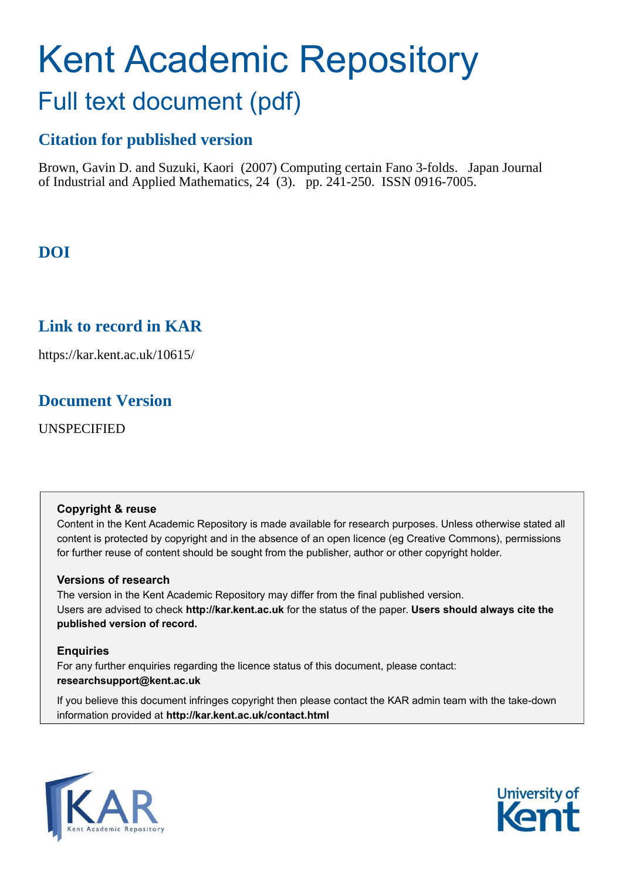# Kent Academic Repository Full text document (pdf)

## **Citation for published version**

Brown, Gavin D. and Suzuki, Kaori (2007) Computing certain Fano 3-folds. Japan Journal of Industrial and Applied Mathematics, 24 (3). pp. 241-250. ISSN 0916-7005.

## **DOI**

## **Link to record in KAR**

https://kar.kent.ac.uk/10615/

## **Document Version**

UNSPECIFIED

#### **Copyright & reuse**

Content in the Kent Academic Repository is made available for research purposes. Unless otherwise stated all content is protected by copyright and in the absence of an open licence (eg Creative Commons), permissions for further reuse of content should be sought from the publisher, author or other copyright holder.

#### **Versions of research**

The version in the Kent Academic Repository may differ from the final published version. Users are advised to check **http://kar.kent.ac.uk** for the status of the paper. **Users should always cite the published version of record.**

#### **Enquiries**

<span id="page-0-0"></span>For any further enquiries regarding the licence status of this document, please contact: **researchsupport@kent.ac.uk**

If you believe this document infringes copyright then please contact the KAR admin team with the take-down information provided at **http://kar.kent.ac.uk/contact.html**



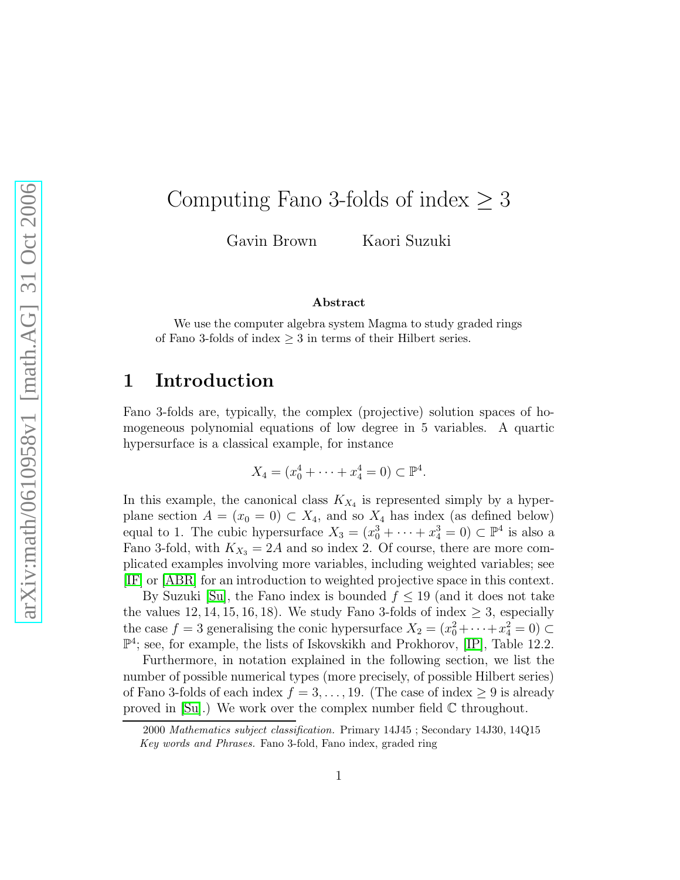## Computing Fano 3-folds of index  $\geq 3$

Gavin Brown Kaori Suzuki

#### Abstract

We use the computer algebra system Magma to study graded rings of Fano 3-folds of index  $\geq 3$  in terms of their Hilbert series.

## 1 Introduction

<span id="page-1-0"></span>Fano 3-folds are, typically, the complex (projective) solution spaces of homogeneous polynomial equations of low degree in 5 variables. A quartic hypersurface is a classical example, for instance

$$
X_4 = (x_0^4 + \dots + x_4^4 = 0) \subset \mathbb{P}^4.
$$

In this example, the canonical class  $K_{X_4}$  is represented simply by a hyperplane section  $A = (x_0 = 0) \subset X_4$ , and so  $X_4$  has index (as defined below) equal to 1. The cubic hypersurface  $X_3 = (x_0^3 + \cdots + x_4^3 = 0) \subset \mathbb{P}^4$  is also a Fano 3-fold, with  $K_{X_3} = 2A$  and so index 2. Of course, there are more complicated examples involving more variables, including weighted variables; see [\[IF\]](#page-8-0) or [\[ABR\]](#page-8-1) for an introduction to weighted projective space in this context.

By Suzuki [\[Su\]](#page-8-2), the Fano index is bounded  $f \leq 19$  (and it does not take the values 12, 14, 15, 16, 18). We study Fano 3-folds of index  $\geq$  3, especially the case  $f = 3$  generalising the conic hypersurface  $X_2 = (x_0^2 + \cdots + x_4^2 = 0) \subset$  $\mathbb{P}^4$ ; see, for example, the lists of Iskovskikh and Prokhorov, [\[IP\]](#page-8-3), Table 12.2.

Furthermore, in notation explained in the following section, we list the number of possible numerical types (more precisely, of possible Hilbert series) of Fano 3-folds of each index  $f = 3, \ldots, 19$ . (The case of index  $\geq 9$  is already proved in  $[Su]$ .) We work over the complex number field  $\mathbb C$  throughout.

<sup>2000</sup> Mathematics subject classification. Primary 14J45 ; Secondary 14J30, 14Q15 Key words and Phrases. Fano 3-fold, Fano index, graded ring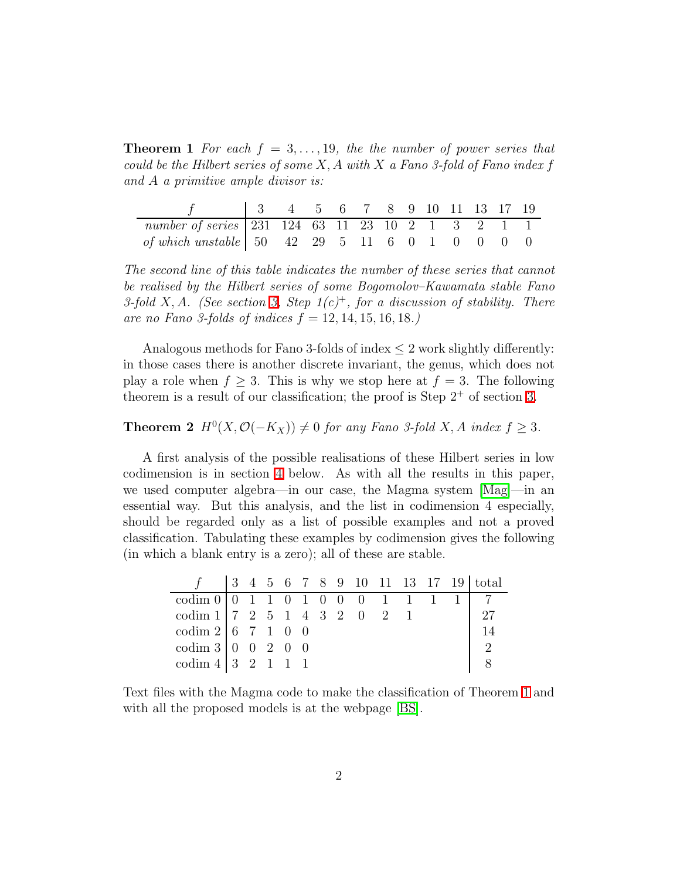**Theorem 1** For each  $f = 3, \ldots, 19$ , the the number of power series that could be the Hilbert series of some  $X, A$  with  $X$  a Fano 3-fold of Fano index f and A a primitive ample divisor is:

| number of series 231 124 63 11 23 10 2 1 3 2 1 1                                                    |  |  |  |  |  |  |
|-----------------------------------------------------------------------------------------------------|--|--|--|--|--|--|
| of which unstable $\begin{array}{cccccc} 50 & 42 & 29 & 5 & 11 & 6 & 0 & 1 & 0 & 0 & 0 \end{array}$ |  |  |  |  |  |  |

The second line of this table indicates the number of these series that cannot be realised by the Hilbert series of some Bogomolov–Kawamata stable Fano 3-fold X, A. (See section [3,](#page-3-0) Step  $1(c)^+$ , for a discussion of stability. There are no Fano 3-folds of indices  $f = 12, 14, 15, 16, 18$ .

Analogous methods for Fano 3-folds of index  $\leq 2$  work slightly differently: in those cases there is another discrete invariant, the genus, which does not play a role when  $f \geq 3$ . This is why we stop here at  $f = 3$ . The following theorem is a result of our classification; the proof is Step  $2^+$  of section [3.](#page-3-0)

#### **Theorem 2**  $H^0(X, \mathcal{O}(-K_X)) \neq 0$  for any Fano 3-fold X, A index  $f \geq 3$ .

A first analysis of the possible realisations of these Hilbert series in low codimension is in section [4](#page-6-0) below. As with all the results in this paper, we used computer algebra—in our case, the Magma system [\[Mag\]](#page-8-4)—in an essential way. But this analysis, and the list in codimension 4 especially, should be regarded only as a list of possible examples and not a proved classification. Tabulating these examples by codimension gives the following (in which a blank entry is a zero); all of these are stable.

| $\text{codim } 0 \mid 0 \quad 1 \quad 1 \quad 0 \quad 1 \quad 0 \quad 0 \quad 0 \quad 1 \quad 1 \quad 1$ |  |  |  |  |  |  |                |
|----------------------------------------------------------------------------------------------------------|--|--|--|--|--|--|----------------|
| codim $1 \mid 7 \mid 2 \mid 5 \mid 1 \mid 4 \mid 3 \mid 2 \mid 0 \mid 2 \mid 1$                          |  |  |  |  |  |  | 27             |
| codim $2   6 7 1 0 0$                                                                                    |  |  |  |  |  |  | -14            |
| codim 3   0 0 2 0 0                                                                                      |  |  |  |  |  |  | $\overline{2}$ |
| codim $4 \mid 3 \mid 2 \mid 1 \mid 1 \mid 1$                                                             |  |  |  |  |  |  |                |

Text files with the Magma code to make the classification of Theorem [1](#page-0-0) and with all the proposed models is at the webpage [\[BS\]](#page-8-5).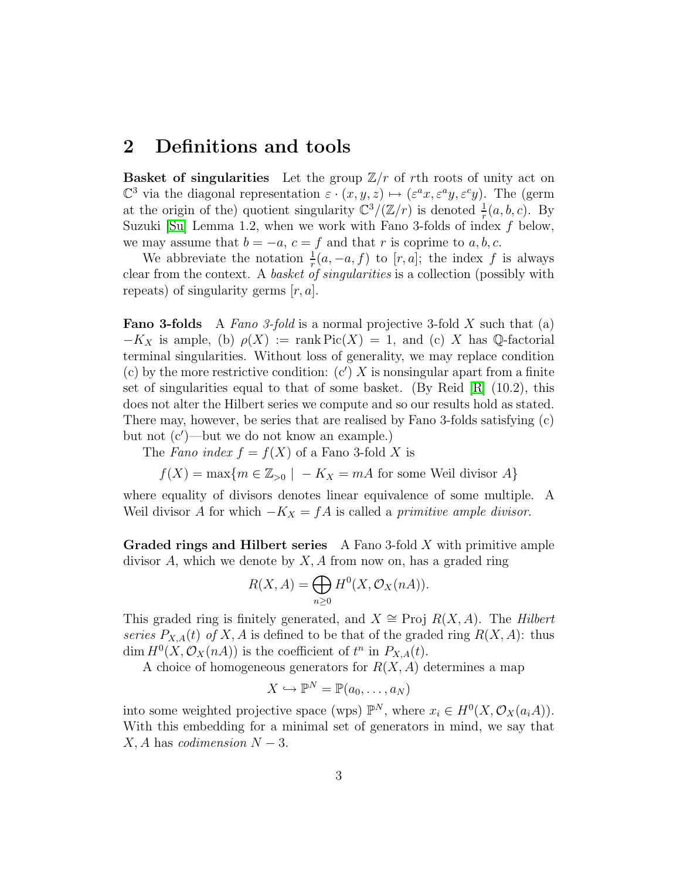#### 2 Definitions and tools

**Basket of singularities** Let the group  $\mathbb{Z}/r$  of rth roots of unity act on  $\mathbb{C}^3$  via the diagonal representation  $\varepsilon \cdot (x, y, z) \mapsto (\varepsilon^a x, \varepsilon^a y, \varepsilon^c y)$ . The (germ at the origin of the) quotient singularity  $\mathbb{C}^3/(\mathbb{Z}/r)$  is denoted  $\frac{1}{r}(a, b, c)$ . By Suzuki [\[Su\]](#page-8-2) Lemma 1.2, when we work with Fano 3-folds of index  $f$  below, we may assume that  $b = -a$ ,  $c = f$  and that r is coprime to a, b, c.

<span id="page-3-1"></span>We abbreviate the notation  $\frac{1}{r}(a, -a, f)$  to  $[r, a]$ ; the index f is always clear from the context. A basket of singularities is a collection (possibly with repeats) of singularity germs  $[r, a]$ .

**Fano 3-folds** A Fano 3-fold is a normal projective 3-fold X such that (a)  $-K_X$  is ample, (b)  $\rho(X) := \text{rank Pic}(X) = 1$ , and (c) X has Q-factorial terminal singularities. Without loss of generality, we may replace condition (c) by the more restrictive condition:  $(c') X$  is nonsingular apart from a finite set of singularities equal to that of some basket. (By Reid  $|R|$  (10.2), this does not alter the Hilbert series we compute and so our results hold as stated. There may, however, be series that are realised by Fano 3-folds satisfying (c) but not (c′ )—but we do not know an example.)

The Fano index  $f = f(X)$  of a Fano 3-fold X is

 $f(X) = \max\{m \in \mathbb{Z}_{>0} \mid -K_X = mA$  for some Weil divisor A

<span id="page-3-2"></span>where equality of divisors denotes linear equivalence of some multiple. A Weil divisor A for which  $-K_X = fA$  is called a *primitive ample divisor*.

Graded rings and Hilbert series A Fano 3-fold X with primitive ample divisor  $A$ , which we denote by  $X$ ,  $A$  from now on, has a graded ring

$$
R(X, A) = \bigoplus_{n \ge 0} H^0(X, \mathcal{O}_X(nA)).
$$

<span id="page-3-0"></span>This graded ring is finitely generated, and  $X \cong \text{Proj } R(X, A)$ . The Hilbert series  $P_{X,A}(t)$  of X, A is defined to be that of the graded ring  $R(X, A)$ : thus dim  $H^0(X, \mathcal{O}_X(nA))$  is the coefficient of  $t^n$  in  $P_{X,A}(t)$ .

A choice of homogeneous generators for  $R(X, A)$  determines a map

$$
X \hookrightarrow \mathbb{P}^N = \mathbb{P}(a_0, \ldots, a_N)
$$

into some weighted projective space (wps)  $\mathbb{P}^N$ , where  $x_i \in H^0(X, \mathcal{O}_X(a_i A)).$ With this embedding for a minimal set of generators in mind, we say that  $X, A$  has *codimension*  $N - 3$ .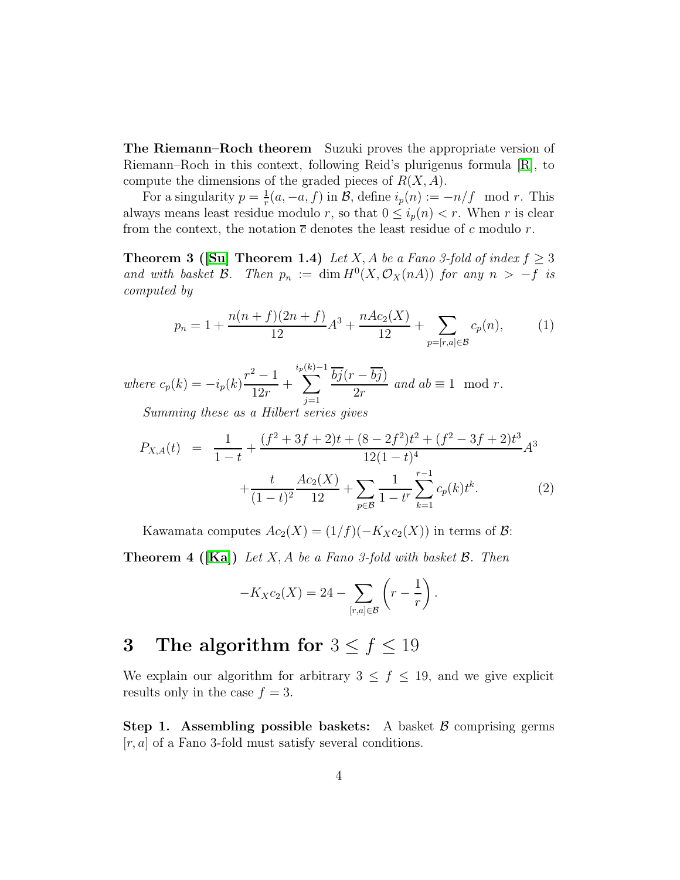The Riemann–Roch theorem Suzuki proves the appropriate version of Riemann–Roch in this context, following Reid's plurigenus formula [\[R\]](#page-8-6), to compute the dimensions of the graded pieces of  $R(X, A)$ .

For a singularity  $p=\frac{1}{r}$  $r_r^{\frac{1}{r}}(a, -a, f)$  in B, define  $i_p(n) := -n/f \mod r$ . This always means least residue modulo r, so that  $0 \leq i_p(n) < r$ . When r is clear from the context, the notation  $\bar{c}$  denotes the least residue of c modulo r.

**Theorem 3 ([\[Su\]](#page-8-2) Theorem 1.4)** Let X, A be a Fano 3-fold of index  $f \geq 3$ and with basket  $\mathcal{B}$ . Then  $p_n := \dim H^0(X, \mathcal{O}_X(nA))$  for any  $n > -f$  is computed by

$$
p_n = 1 + \frac{n(n+f)(2n+f)}{12}A^3 + \frac{nAc_2(X)}{12} + \sum_{p=[r,a]\in\mathcal{B}} c_p(n),\tag{1}
$$

where  $c_p(k) = -i_p(k)$  $r^2 - 1$ 12r  $+$  $i_p$  $\sum$  $(k) - 1$  $j=1$  $bj(r - bj)$  $2r$ and  $ab \equiv 1 \mod r$ .

Summing these as a Hilbert series gives

$$
P_{X,A}(t) = \frac{1}{1-t} + \frac{(f^2 + 3f + 2)t + (8 - 2f^2)t^2 + (f^2 - 3f + 2)t^3}{12(1-t)^4} A^3 + \frac{t}{(1-t)^2} \frac{Ac_2(X)}{12} + \sum_{p \in \mathcal{B}} \frac{1}{1-t^r} \sum_{k=1}^{r-1} c_p(k)t^k.
$$
 (2)

Kawamata computes  $Ac_2(X) = (1/f)(-K_Xc_2(X))$  in terms of B:

**Theorem 4 ([\[Ka\]](#page-8-7))** Let X, A be a Fano 3-fold with basket  $\mathcal{B}$ . Then

$$
-K_Xc_2(X) = 24 - \sum_{[r,a]\in\mathcal{B}} \left(r - \frac{1}{r}\right).
$$

## 3 The algorithm for  $3 \le f \le 19$

We explain our algorithm for arbitrary  $3 \leq f \leq 19$ , and we give explicit results only in the case  $f = 3$ .

Step 1. Assembling possible baskets: A basket  $\beta$  comprising germs  $[r, a]$  of a Fano 3-fold must satisfy several conditions.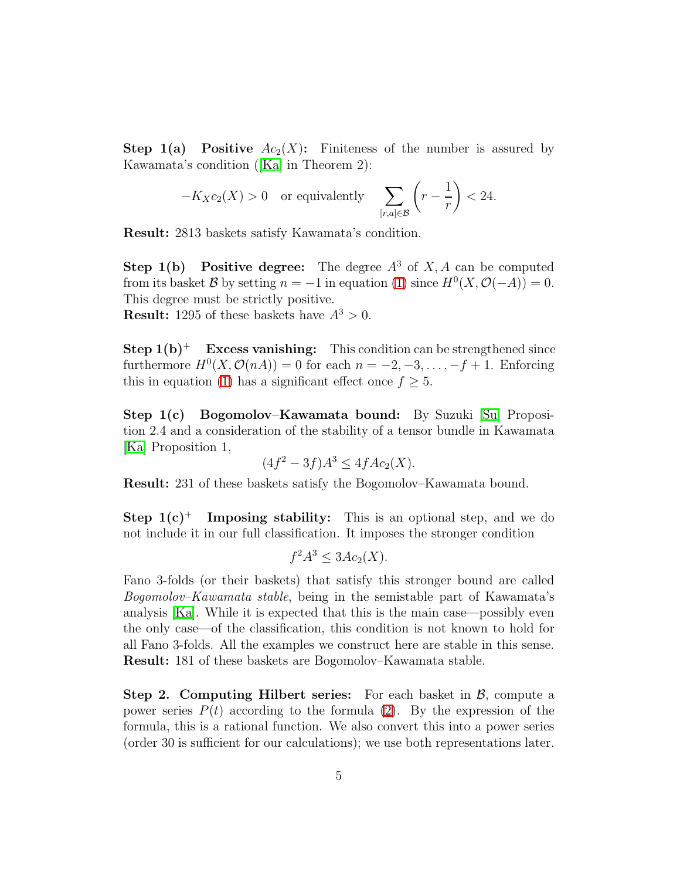**Step 1(a) Positive**  $Ac_2(X)$ : Finiteness of the number is assured by Kawamata's condition ([\[Ka\]](#page-8-7) in Theorem 2):

$$
-K_Xc_2(X) > 0 \quad \text{or equivalently} \quad \sum_{[r,a]\in\mathcal{B}} \left( r - \frac{1}{r} \right) < 24.
$$

Result: 2813 baskets satisfy Kawamata's condition.

**Step 1(b)** Positive degree: The degree  $A^3$  of X, A can be computed from its basket B by setting  $n = -1$  in equation [\(1\)](#page-3-1) since  $H^0(X, \mathcal{O}(-A)) = 0$ . This degree must be strictly positive.

**Result:** 1295 of these baskets have  $A^3 > 0$ .

**Step 1(b)<sup>+</sup> Excess vanishing:** This condition can be strengthened since furthermore  $H^0(X, \mathcal{O}(nA)) = 0$  for each  $n = -2, -3, \ldots, -f + 1$ . Enforcing this in equation [\(1\)](#page-3-1) has a significant effect once  $f \geq 5$ .

Step 1(c) Bogomolov–Kawamata bound: By Suzuki [\[Su\]](#page-8-2) Proposition 2.4 and a consideration of the stability of a tensor bundle in Kawamata [\[Ka\]](#page-8-7) Proposition 1,

$$
(4f2 - 3f)A3 \le 4fAc2(X).
$$

Result: 231 of these baskets satisfy the Bogomolov–Kawamata bound.

**Step 1(c)<sup>+</sup>** Imposing stability: This is an optional step, and we do not include it in our full classification. It imposes the stronger condition

$$
f^2A^3 \le 3Ac_2(X).
$$

Fano 3-folds (or their baskets) that satisfy this stronger bound are called Bogomolov–Kawamata stable, being in the semistable part of Kawamata's analysis [\[Ka\]](#page-8-7). While it is expected that this is the main case—possibly even the only case—of the classification, this condition is not known to hold for all Fano 3-folds. All the examples we construct here are stable in this sense. Result: 181 of these baskets are Bogomolov–Kawamata stable.

**Step 2. Computing Hilbert series:** For each basket in  $\mathcal{B}$ , compute a power series  $P(t)$  according to the formula [\(2\)](#page-3-2). By the expression of the formula, this is a rational function. We also convert this into a power series (order 30 is sufficient for our calculations); we use both representations later.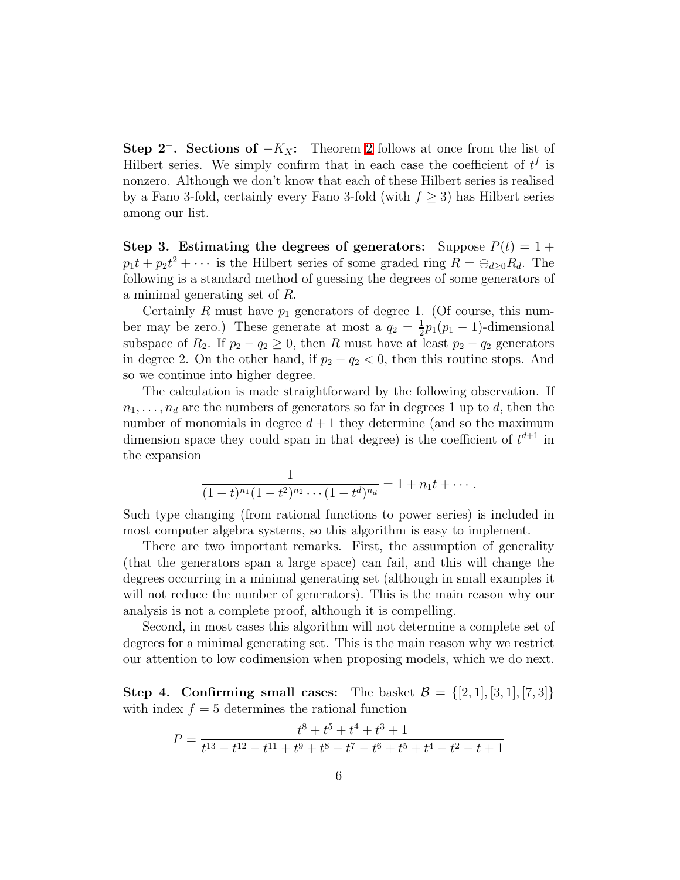Step [2](#page-1-0)<sup>+</sup>. Sections of  $-K_X$ : Theorem 2 follows at once from the list of Hilbert series. We simply confirm that in each case the coefficient of  $t^f$  is nonzero. Although we don't know that each of these Hilbert series is realised by a Fano 3-fold, certainly every Fano 3-fold (with  $f \geq 3$ ) has Hilbert series among our list.

Step 3. Estimating the degrees of generators: Suppose  $P(t) = 1 +$  $p_1t + p_2t^2 + \cdots$  is the Hilbert series of some graded ring  $R = \bigoplus_{d \geq 0} R_d$ . The following is a standard method of guessing the degrees of some generators of a minimal generating set of R.

Certainly R must have  $p_1$  generators of degree 1. (Of course, this number may be zero.) These generate at most a  $q_2 = \frac{1}{2}$  $\frac{1}{2}p_1(p_1-1)$ -dimensional subspace of  $R_2$ . If  $p_2 - q_2 \geq 0$ , then R must have at least  $p_2 - q_2$  generators in degree 2. On the other hand, if  $p_2 - q_2 < 0$ , then this routine stops. And so we continue into higher degree.

The calculation is made straightforward by the following observation. If  $n_1, \ldots, n_d$  are the numbers of generators so far in degrees 1 up to d, then the number of monomials in degree  $d+1$  they determine (and so the maximum dimension space they could span in that degree) is the coefficient of  $t^{d+1}$  in the expansion

$$
\frac{1}{(1-t)^{n_1}(1-t^2)^{n_2}\cdots(1-t^d)^{n_d}}=1+n_1t+\cdots.
$$

Such type changing (from rational functions to power series) is included in most computer algebra systems, so this algorithm is easy to implement.

<span id="page-6-0"></span>There are two important remarks. First, the assumption of generality (that the generators span a large space) can fail, and this will change the degrees occurring in a minimal generating set (although in small examples it will not reduce the number of generators). This is the main reason why our analysis is not a complete proof, although it is compelling.

Second, in most cases this algorithm will not determine a complete set of degrees for a minimal generating set. This is the main reason why we restrict our attention to low codimension when proposing models, which we do next.

Step 4. Confirming small cases: The basket  $\mathcal{B} = \{[2,1], [3,1], [7,3]\}$ with index  $f = 5$  determines the rational function

$$
P = \frac{t^8 + t^5 + t^4 + t^3 + 1}{t^{13} - t^{12} - t^{11} + t^9 + t^8 - t^7 - t^6 + t^5 + t^4 - t^2 - t + 1}
$$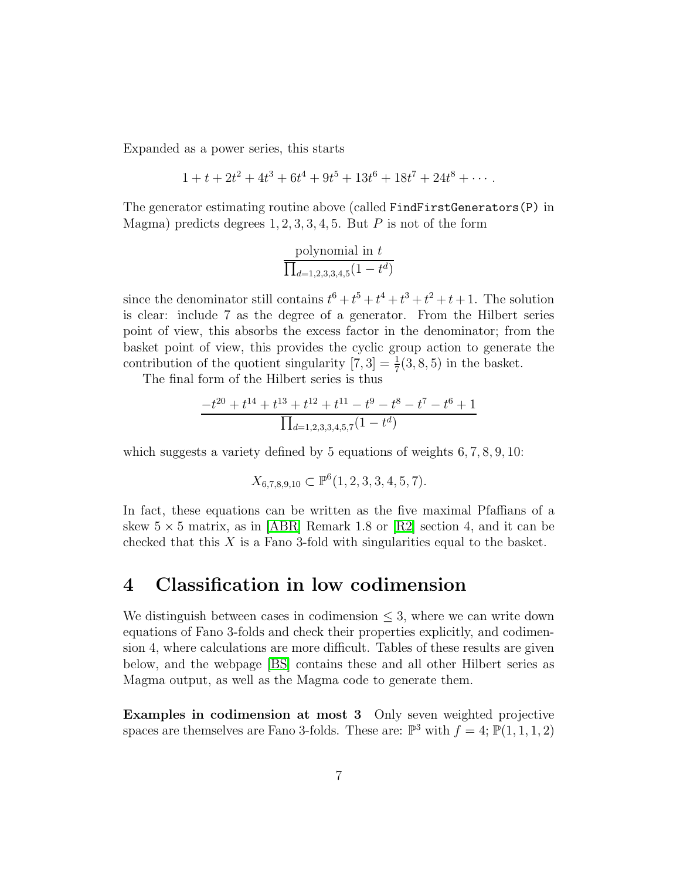Expanded as a power series, this starts

$$
1 + t + 2t^2 + 4t^3 + 6t^4 + 9t^5 + 13t^6 + 18t^7 + 24t^8 + \cdots
$$

The generator estimating routine above (called FindFirstGenerators(P) in Magma) predicts degrees  $1, 2, 3, 3, 4, 5$ . But P is not of the form

polynomial in 
$$
t
$$
 $\frac{1}{\prod_{d=1,2,3,3,4,5}(1-t^d)}$ 

since the denominator still contains  $t^6 + t^5 + t^4 + t^3 + t^2 + t + 1$ . The solution is clear: include 7 as the degree of a generator. From the Hilbert series point of view, this absorbs the excess factor in the denominator; from the basket point of view, this provides the cyclic group action to generate the contribution of the quotient singularity  $[7,3] = \frac{1}{7}(3,8,5)$  in the basket.

The final form of the Hilbert series is thus

$$
\frac{-t^{20} + t^{14} + t^{13} + t^{12} + t^{11} - t^9 - t^8 - t^7 - t^6 + 1}{\prod_{d=1,2,3,3,4,5,7} (1 - t^d)}
$$

which suggests a variety defined by 5 equations of weights 6, 7, 8, 9, 10:

$$
X_{6,7,8,9,10} \subset \mathbb{P}^6(1,2,3,3,4,5,7).
$$

In fact, these equations can be written as the five maximal Pfaffians of a skew  $5 \times 5$  matrix, as in [\[ABR\]](#page-8-1) Remark 1.8 or [\[R2\]](#page-8-8) section 4, and it can be checked that this  $X$  is a Fano 3-fold with singularities equal to the basket.

#### 4 Classification in low codimension

We distinguish between cases in codimension  $\leq$  3, where we can write down equations of Fano 3-folds and check their properties explicitly, and codimension 4, where calculations are more difficult. Tables of these results are given below, and the webpage [\[BS\]](#page-8-5) contains these and all other Hilbert series as Magma output, as well as the Magma code to generate them.

Examples in codimension at most 3 Only seven weighted projective spaces are themselves are Fano 3-folds. These are:  $\mathbb{P}^3$  with  $f = 4$ ;  $\mathbb{P}(1,1,1,2)$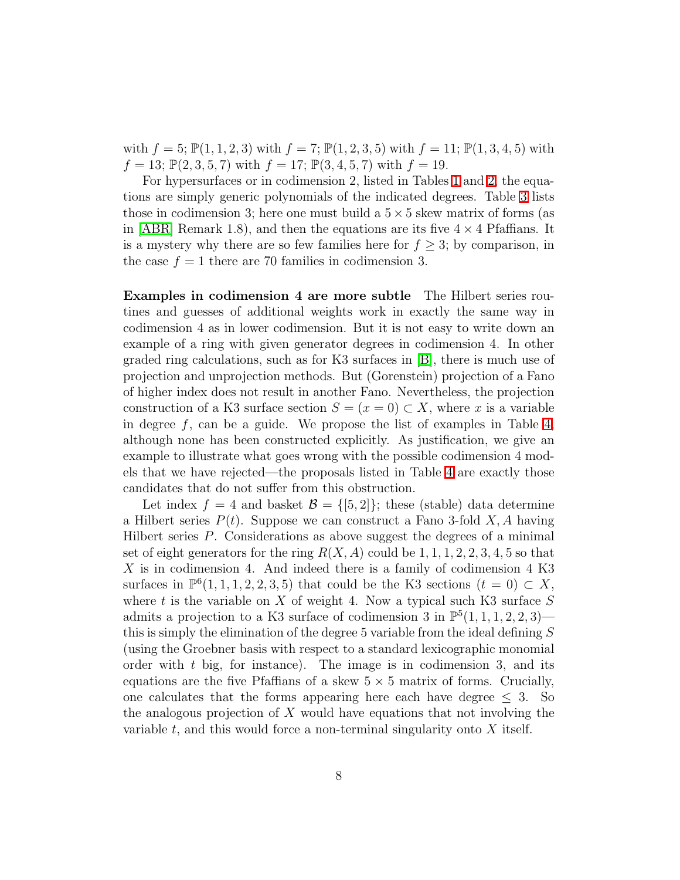<span id="page-8-1"></span>with  $f = 5$ ;  $\mathbb{P}(1, 1, 2, 3)$  with  $f = 7$ ;  $\mathbb{P}(1, 2, 3, 5)$  with  $f = 11$ ;  $\mathbb{P}(1, 3, 4, 5)$  with  $f = 13$ ;  $\mathbb{P}(2, 3, 5, 7)$  with  $f = 17$ ;  $\mathbb{P}(3, 4, 5, 7)$  with  $f = 19$ .

<span id="page-8-9"></span>For hypersurfaces or in codimension 2, listed in Tables [1](#page-9-0) and [2,](#page-10-0) the equations are simply generic polynomials of the indicated degrees. Table [3](#page-10-1) lists those in codimension 3; here one must build a  $5 \times 5$  skew matrix of forms (as in [\[ABR\]](#page-8-1) Remark 1.8), and then the equations are its five  $4 \times 4$  Pfaffians. It is a mystery why there are so few families here for  $f \geq 3$ ; by comparison, in the case  $f = 1$  there are 70 families in codimension 3.

<span id="page-8-5"></span><span id="page-8-3"></span><span id="page-8-0"></span>Examples in codimension 4 are more subtle The Hilbert series routines and guesses of additional weights work in exactly the same way in codimension 4 as in lower codimension. But it is not easy to write down an example of a ring with given generator degrees in codimension 4. In other graded ring calculations, such as for K3 surfaces in [\[B\]](#page-8-9), there is much use of projection and unprojection methods. But (Gorenstein) projection of a Fano of higher index does not result in another Fano. Nevertheless, the projection construction of a K3 surface section  $S = (x = 0) \subset X$ , where x is a variable in degree  $f$ , can be a guide. We propose the list of examples in Table [4,](#page-10-2) although none has been constructed explicitly. As justification, we give an example to illustrate what goes wrong with the possible codimension 4 models that we have rejected—the proposals listed in Table [4](#page-10-2) are exactly those candidates that do not suffer from this obstruction.

<span id="page-8-8"></span><span id="page-8-7"></span><span id="page-8-6"></span><span id="page-8-4"></span><span id="page-8-2"></span>Let index  $f = 4$  and basket  $\mathcal{B} = \{5, 2\}$ ; these (stable) data determine a Hilbert series  $P(t)$ . Suppose we can construct a Fano 3-fold X, A having Hilbert series  $P$ . Considerations as above suggest the degrees of a minimal set of eight generators for the ring  $R(X, A)$  could be 1, 1, 1, 2, 2, 3, 4, 5 so that  $X$  is in codimension 4. And indeed there is a family of codimension 4 K3 surfaces in  $\mathbb{P}^6(1,1,1,2,2,3,5)$  that could be the K3 sections  $(t = 0) \subset X$ , where t is the variable on  $X$  of weight 4. Now a typical such K3 surface  $S$ admits a projection to a K3 surface of codimension 3 in  $\mathbb{P}^{5}(1,1,1,2,2,3)$  this is simply the elimination of the degree 5 variable from the ideal defining S (using the Groebner basis with respect to a standard lexicographic monomial order with  $t$  big, for instance). The image is in codimension 3, and its equations are the five Pfaffians of a skew  $5 \times 5$  matrix of forms. Crucially, one calculates that the forms appearing here each have degree  $\leq 3$ . So the analogous projection of  $X$  would have equations that not involving the variable  $t$ , and this would force a non-terminal singularity onto  $X$  itself.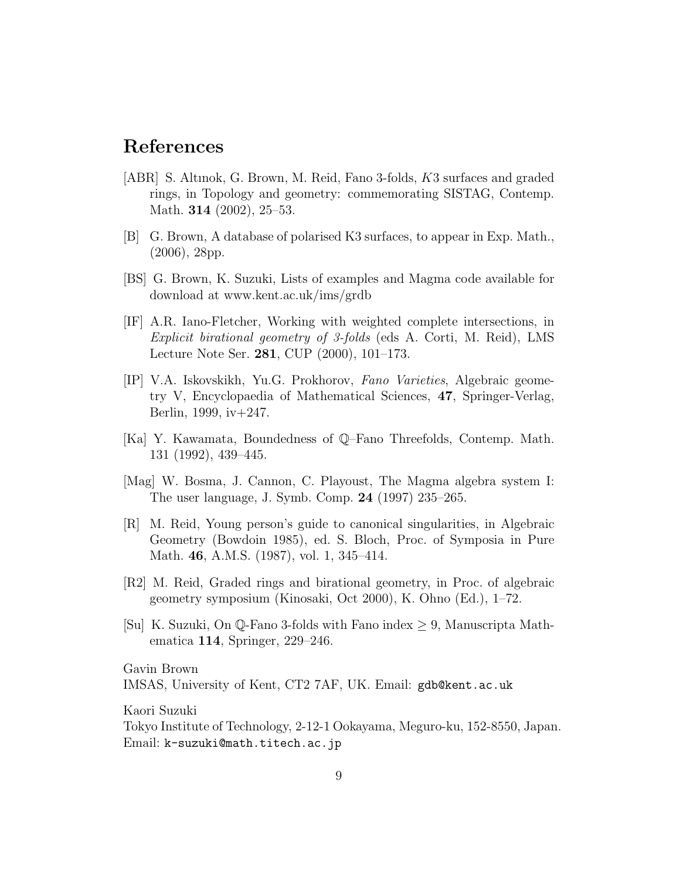### References

- [ABR] S. Altınok, G. Brown, M. Reid, Fano 3-folds, K3 surfaces and graded rings, in Topology and geometry: commemorating SISTAG, Contemp. Math. **314** (2002), 25–53.
- [B] G. Brown, A database of polarised K3 surfaces, to appear in Exp. Math., (2006), 28pp.
- [BS] G. Brown, K. Suzuki, Lists of examples and Magma code available for download at www.kent.ac.uk/ims/grdb
- [IF] A.R. Iano-Fletcher, Working with weighted complete intersections, in Explicit birational geometry of 3-folds (eds A. Corti, M. Reid), LMS Lecture Note Ser. 281, CUP (2000), 101–173.
- [IP] V.A. Iskovskikh, Yu.G. Prokhorov, Fano Varieties, Algebraic geometry V, Encyclopaedia of Mathematical Sciences, 47, Springer-Verlag, Berlin, 1999, iv+247.
- [Ka] Y. Kawamata, Boundedness of Q–Fano Threefolds, Contemp. Math. 131 (1992), 439–445.
- [Mag] W. Bosma, J. Cannon, C. Playoust, The Magma algebra system I: The user language, J. Symb. Comp. 24 (1997) 235–265.
- [R] M. Reid, Young person's guide to canonical singularities, in Algebraic Geometry (Bowdoin 1985), ed. S. Bloch, Proc. of Symposia in Pure Math. 46, A.M.S. (1987), vol. 1, 345–414.
- [R2] M. Reid, Graded rings and birational geometry, in Proc. of algebraic geometry symposium (Kinosaki, Oct 2000), K. Ohno (Ed.), 1–72.
- [Su] K. Suzuki, On Q-Fano 3-folds with Fano index  $\geq 9$ , Manuscripta Mathematica 114, Springer, 229–246.

<span id="page-9-0"></span>Gavin Brown IMSAS, University of Kent, CT2 7AF, UK. Email: gdb@kent.ac.uk

Kaori Suzuki

Tokyo Institute of Technology, 2-12-1 Ookayama, Meguro-ku, 152-8550, Japan. Email: k-suzuki@math.titech.ac.jp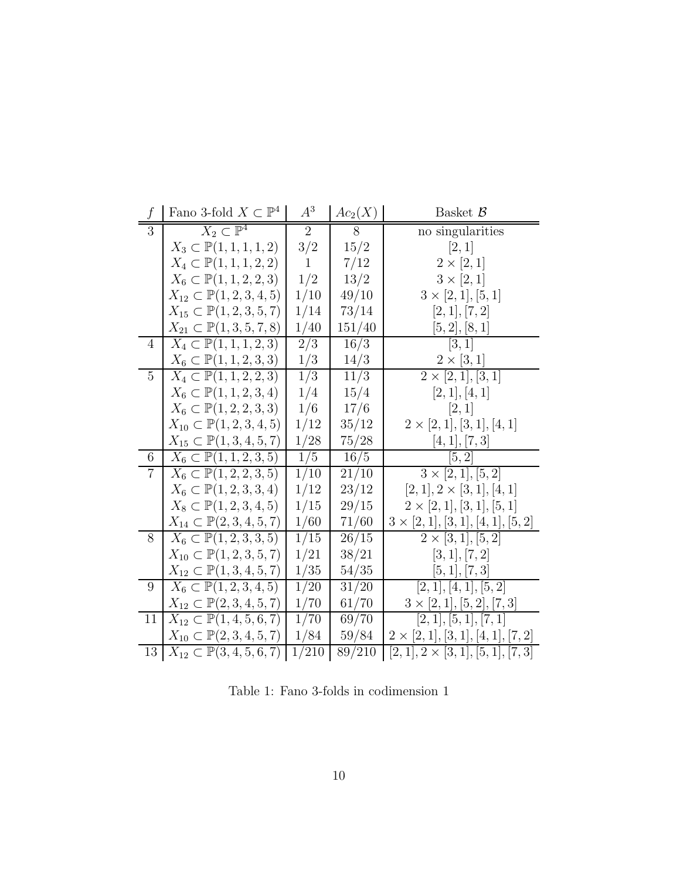<span id="page-10-0"></span>

| f               | Fano 3-fold $X \subset \mathbb{P}^4$               | $A^3$          | $Ac_2(X)$ | Basket $\mathcal{B}$                      |
|-----------------|----------------------------------------------------|----------------|-----------|-------------------------------------------|
| 3               | $X_2 \subset \mathbb{P}^4$                         | $\overline{2}$ | 8         | no singularities                          |
|                 | $X_3 \subset \mathbb{P}(1,1,1,1,2)$                | 3/2            | 15/2      | [2,1]                                     |
|                 | $X_4 \subset \mathbb{P}(1,1,1,2,2)$                | $\mathbf{1}$   | 7/12      | $2 \times [2,1]$                          |
|                 | $X_6 \subset \mathbb{P}(1, 1, 2, 2, 3)$            | 1/2            | 13/2      | $3 \times [2,1]$                          |
|                 | $X_{12} \subset \mathbb{P}(1, 2, 3, 4, 5)$         | 1/10           | 49/10     | $3 \times [2, 1], [5, 1]$                 |
|                 | $X_{15} \subset \mathbb{P}(1, 2, 3, 5, 7)$         | 1/14           | 73/14     | [2,1], [7,2]                              |
|                 | $X_{21} \subset \mathbb{P}(1,3,5,7,8)$             | 1/40           | 151/40    | [5,2],[8,1]                               |
| 4               | $X_4 \subset \mathbb{P}(1,1,1,2,3)$                | 2/3            | 16/3      | [3, 1]                                    |
|                 | $X_6 \subset \mathbb{P}(1, 1, 2, 3, 3)$            | 1/3            | 14/3      | $2\times[3,1]$                            |
| $\overline{5}$  | $\overline{X_4} \subset \mathbb{P}(1,1,2,2,3)$     | 1/3            | 11/3      | $2 \times [2, 1], [3, 1]$                 |
|                 | $X_6 \subset \mathbb{P}(1, 1, 2, 3, 4)$            | 1/4            | 15/4      | [2,1], [4,1]                              |
|                 | $X_6 \subset \mathbb{P}(1, 2, 2, 3, 3)$            | 1/6            | 17/6      | [2,1]                                     |
|                 | $X_{10} \subset \mathbb{P}(1, 2, 3, 4, 5)$         | 1/12           | 35/12     | $2 \times [2, 1], [3, 1], [4, 1]$         |
|                 | $X_{15} \subset \mathbb{P}(1, 3, 4, 5, 7)$         | 1/28           | 75/28     | [4, 1], [7, 3]                            |
| $6\phantom{.}6$ | $X_6 \subset \mathbb{P}(1, 1, 2, 3, 5)$            | 1/5            | 16/5      | [5, 2]                                    |
| $\overline{7}$  | $X_6 \subset \mathbb{P}(1, 2, 2, 3, 5)$            | 1/10           | 21/10     | $3 \times [2, 1], [5, 2]$                 |
|                 | $X_6 \subset \mathbb{P}(1, 2, 3, 3, 4)$            | 1/12           | 23/12     | $[2,1], 2 \times [3,1], [4,1]$            |
|                 | $X_8 \subset \mathbb{P}(1, 2, 3, 4, 5)$            | 1/15           | 29/15     | $2 \times [2, 1], [3, 1], [5, 1]$         |
|                 | $X_{14} \subset \mathbb{P}(2,3,4,5,7)$             | 1/60           | 71/60     | $3 \times [2, 1], [3, 1], [4, 1], [5, 2]$ |
| 8               | $X_6 \subset \mathbb{P}(1, 2, 3, 3, 5)$            | 1/15           | 26/15     | $2 \times [3, 1], [5, 2]$                 |
|                 | $X_{10} \subset \mathbb{P}(1, 2, 3, 5, 7)$         | 1/21           | 38/21     | [3, 1], [7, 2]                            |
|                 | $X_{12} \subset \mathbb{P}(1,3,4,5,7)$             | 1/35           | 54/35     | [5, 1], [7, 3]                            |
| 9               | $X_6 \subset \mathbb{P}(1, 2, 3, 4, 5)$            | 1/20           | 31/20     | [2, 1], [4, 1], [5, 2]                    |
|                 | $X_{12} \subset \mathbb{P}(2,3,4,5,7)$             | 1/70           | 61/70     | $3 \times [2, 1], [5, 2], [7, 3]$         |
| 11              | $X_{12} \subset \mathbb{P}(1, 4, 5, 6, 7)$         | 1/70           | 69/70     | [2, 1], [5, 1], [7, 1]                    |
|                 | $X_{10} \subset \mathbb{P}(2, 3, 4, 5, 7)$         | 1/84           | 59/84     | $2 \times [2,1], [3,1], [4,1], [7,2]$     |
| 13              | $X_{12} \subset \mathbb{P}(3, 4, 5, 6, 7)$   1/210 |                | 89/210    | $[2,1], 2 \times [3,1], [5,1], [7,3]$     |

<span id="page-10-2"></span><span id="page-10-1"></span>Table 1: Fano 3-folds in codimension 1